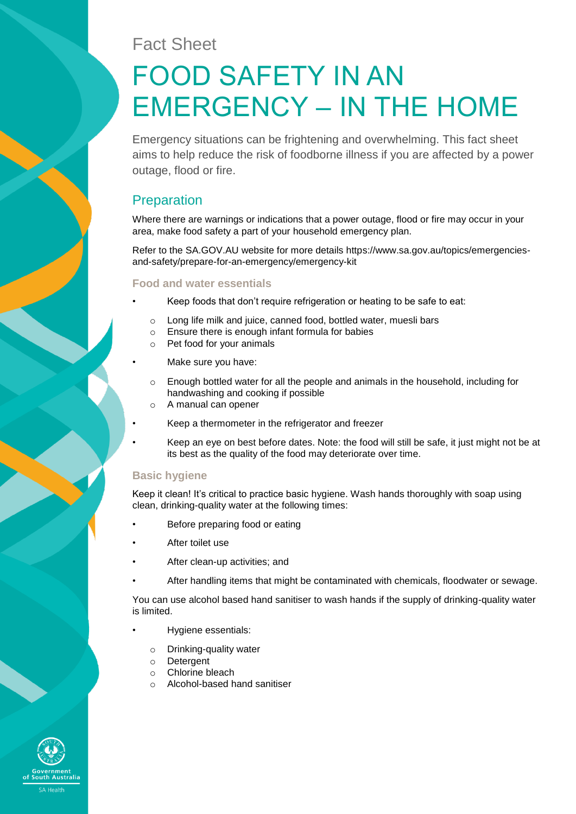# Fact Sheet

# FOOD SAFETY IN AN EMERGENCY – IN THE HOME

Emergency situations can be frightening and overwhelming. This fact sheet aims to help reduce the risk of foodborne illness if you are affected by a power outage, flood or fire.

# **Preparation**

Where there are warnings or indications that a power outage, flood or fire may occur in your area, make food safety a part of your household emergency plan.

Refer to the SA.GOV.AU website for more details https://www.sa.gov.au/topics/emergenciesand-safety/prepare-for-an-emergency/emergency-kit

#### **Food and water essentials**

Keep foods that don't require refrigeration or heating to be safe to eat:

- o Long life milk and juice, canned food, bottled water, muesli bars
- o Ensure there is enough infant formula for babies
- o Pet food for your animals
- Make sure you have:
- $\circ$  Enough bottled water for all the people and animals in the household, including for handwashing and cooking if possible
- o A manual can opener
- Keep a thermometer in the refrigerator and freezer
- Keep an eye on best before dates. Note: the food will still be safe, it just might not be at its best as the quality of the food may deteriorate over time.

## **Basic hygiene**

Keep it clean! It's critical to practice basic hygiene. Wash hands thoroughly with soap using clean, drinking-quality water at the following times:

- Before preparing food or eating
- After toilet use
- After clean-up activities; and
- After handling items that might be contaminated with chemicals, floodwater or sewage.

You can use alcohol based hand sanitiser to wash hands if the supply of drinking-quality water is limited.

- Hygiene essentials:
	- o Drinking-quality water
	- o Detergent
	- o Chlorine bleach
	- o Alcohol-based hand sanitiser

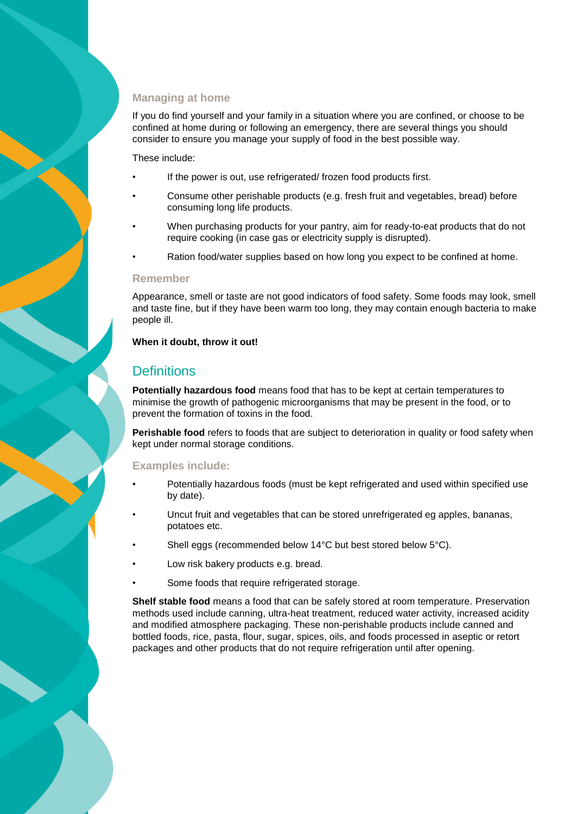## **Managing at home**

If you do find yourself and your family in a situation where you are confined, or choose to be confined at home during or following an emergency, there are several things you should consider to ensure you manage your supply of food in the best possible way.

These include:

- If the power is out, use refrigerated/ frozen food products first.
- Consume other perishable products (e.g. fresh fruit and vegetables, bread) before consuming long life products.
- When purchasing products for your pantry, aim for ready-to-eat products that do not require cooking (in case gas or electricity supply is disrupted).
- Ration food/water supplies based on how long you expect to be confined at home.

#### **Remember**

Appearance, smell or taste are not good indicators of food safety. Some foods may look, smell and taste fine, but if they have been warm too long, they may contain enough bacteria to make people ill.

#### **When it doubt, throw it out!**

## **Definitions**

**Potentially hazardous food** means food that has to be kept at certain temperatures to minimise the growth of pathogenic microorganisms that may be present in the food, or to prevent the formation of toxins in the food.

**Perishable food** refers to foods that are subject to deterioration in quality or food safety when kept under normal storage conditions.

#### **Examples include:**

- Potentially hazardous foods (must be kept refrigerated and used within specified use by date).
- Uncut fruit and vegetables that can be stored unrefrigerated eg apples, bananas, potatoes etc.
- Shell eggs (recommended below 14°C but best stored below 5°C).
- Low risk bakery products e.g. bread.
- Some foods that require refrigerated storage.

**Shelf stable food** means a food that can be safely stored at room temperature. Preservation methods used include canning, ultra-heat treatment, reduced water activity, increased acidity and modified atmosphere packaging. These non-perishable products include canned and bottled foods, rice, pasta, flour, sugar, spices, oils, and foods processed in aseptic or retort packages and other products that do not require refrigeration until after opening.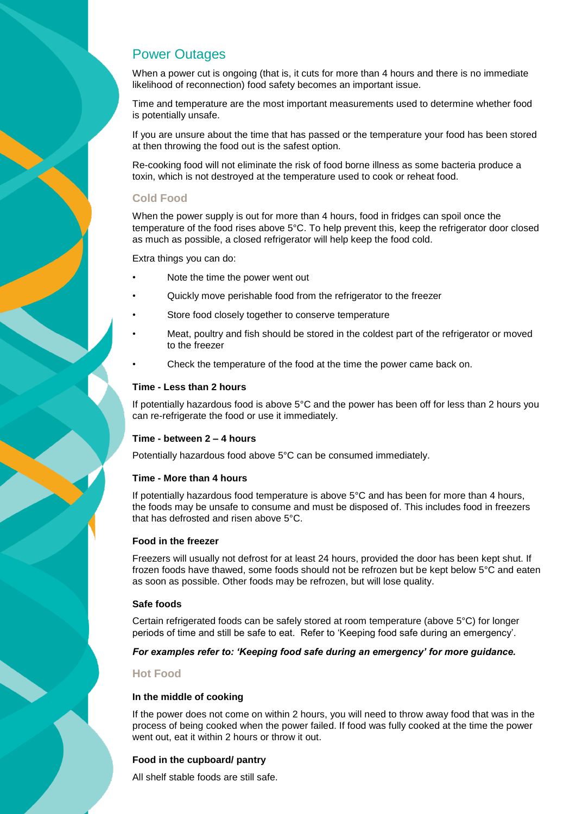# Power Outages

When a power cut is ongoing (that is, it cuts for more than 4 hours and there is no immediate likelihood of reconnection) food safety becomes an important issue.

Time and temperature are the most important measurements used to determine whether food is potentially unsafe.

If you are unsure about the time that has passed or the temperature your food has been stored at then throwing the food out is the safest option.

Re-cooking food will not eliminate the risk of food borne illness as some bacteria produce a toxin, which is not destroyed at the temperature used to cook or reheat food.

## **Cold Food**

When the power supply is out for more than 4 hours, food in fridges can spoil once the temperature of the food rises above 5°C. To help prevent this, keep the refrigerator door closed as much as possible, a closed refrigerator will help keep the food cold.

Extra things you can do:

- Note the time the power went out
- Quickly move perishable food from the refrigerator to the freezer
- Store food closely together to conserve temperature
- Meat, poultry and fish should be stored in the coldest part of the refrigerator or moved to the freezer
- Check the temperature of the food at the time the power came back on.

#### **Time - Less than 2 hours**

If potentially hazardous food is above 5°C and the power has been off for less than 2 hours you can re-refrigerate the food or use it immediately.

#### **Time - between 2 – 4 hours**

Potentially hazardous food above 5°C can be consumed immediately.

#### **Time - More than 4 hours**

If potentially hazardous food temperature is above 5°C and has been for more than 4 hours, the foods may be unsafe to consume and must be disposed of. This includes food in freezers that has defrosted and risen above 5°C.

#### **Food in the freezer**

Freezers will usually not defrost for at least 24 hours, provided the door has been kept shut. If frozen foods have thawed, some foods should not be refrozen but be kept below 5°C and eaten as soon as possible. Other foods may be refrozen, but will lose quality.

#### **Safe foods**

Certain refrigerated foods can be safely stored at room temperature (above 5°C) for longer periods of time and still be safe to eat. Refer to 'Keeping food safe during an emergency'.

*For examples refer to: 'Keeping food safe during an emergency' for more guidance.*

## **Hot Food**

#### **In the middle of cooking**

If the power does not come on within 2 hours, you will need to throw away food that was in the process of being cooked when the power failed. If food was fully cooked at the time the power went out, eat it within 2 hours or throw it out.

#### **Food in the cupboard/ pantry**

All shelf stable foods are still safe.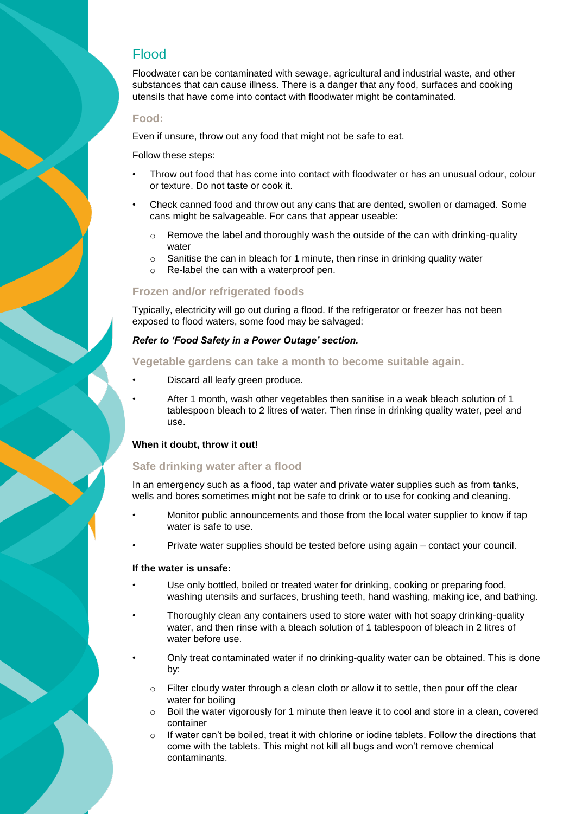# Flood

Floodwater can be contaminated with sewage, agricultural and industrial waste, and other substances that can cause illness. There is a danger that any food, surfaces and cooking utensils that have come into contact with floodwater might be contaminated.

#### **Food:**

Even if unsure, throw out any food that might not be safe to eat.

Follow these steps:

- Throw out food that has come into contact with floodwater or has an unusual odour, colour or texture. Do not taste or cook it.
- Check canned food and throw out any cans that are dented, swollen or damaged. Some cans might be salvageable. For cans that appear useable:
	- $\circ$  Remove the label and thoroughly wash the outside of the can with drinking-quality water
	- o Sanitise the can in bleach for 1 minute, then rinse in drinking quality water
	- o Re-label the can with a waterproof pen.

## **Frozen and/or refrigerated foods**

Typically, electricity will go out during a flood. If the refrigerator or freezer has not been exposed to flood waters, some food may be salvaged:

#### *Refer to 'Food Safety in a Power Outage' section.*

**Vegetable gardens can take a month to become suitable again.**

- Discard all leafy green produce.
- After 1 month, wash other vegetables then sanitise in a weak bleach solution of 1 tablespoon bleach to 2 litres of water. Then rinse in drinking quality water, peel and use.

#### **When it doubt, throw it out!**

#### **Safe drinking water after a flood**

In an emergency such as a flood, tap water and private water supplies such as from tanks, wells and bores sometimes might not be safe to drink or to use for cooking and cleaning.

- Monitor public announcements and those from the local water supplier to know if tap water is safe to use.
- Private water supplies should be tested before using again contact your council.

#### **If the water is unsafe:**

- Use only bottled, boiled or treated water for drinking, cooking or preparing food, washing utensils and surfaces, brushing teeth, hand washing, making ice, and bathing.
- Thoroughly clean any containers used to store water with hot soapy drinking-quality water, and then rinse with a bleach solution of 1 tablespoon of bleach in 2 litres of water before use.
- Only treat contaminated water if no drinking-quality water can be obtained. This is done by:
	- $\circ$  Filter cloudy water through a clean cloth or allow it to settle, then pour off the clear water for boiling
	- $\circ$  Boil the water vigorously for 1 minute then leave it to cool and store in a clean, covered container
	- $\circ$  If water can't be boiled, treat it with chlorine or iodine tablets. Follow the directions that come with the tablets. This might not kill all bugs and won't remove chemical contaminants.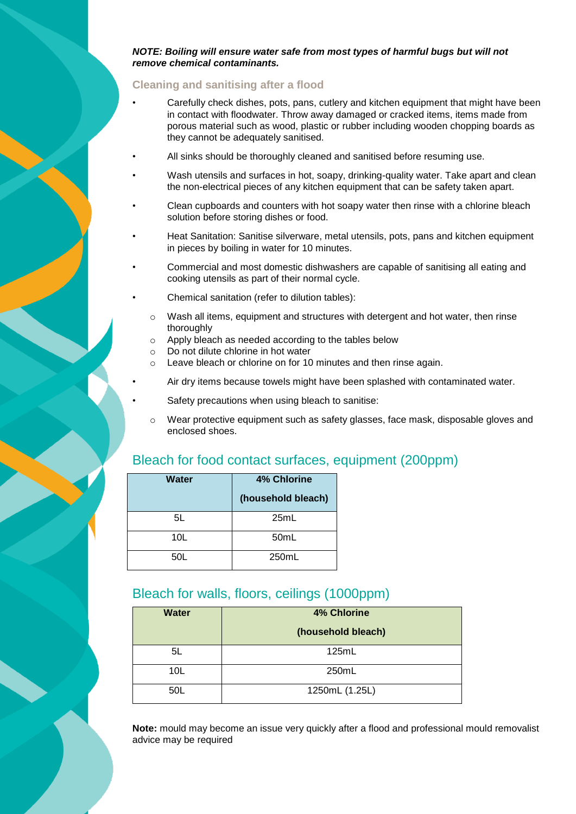#### *NOTE: Boiling will ensure water safe from most types of harmful bugs but will not remove chemical contaminants.*

#### **Cleaning and sanitising after a flood**

- Carefully check dishes, pots, pans, cutlery and kitchen equipment that might have been in contact with floodwater. Throw away damaged or cracked items, items made from porous material such as wood, plastic or rubber including wooden chopping boards as they cannot be adequately sanitised.
- All sinks should be thoroughly cleaned and sanitised before resuming use.
- Wash utensils and surfaces in hot, soapy, drinking-quality water. Take apart and clean the non-electrical pieces of any kitchen equipment that can be safety taken apart.
- Clean cupboards and counters with hot soapy water then rinse with a chlorine bleach solution before storing dishes or food.
- Heat Sanitation: Sanitise silverware, metal utensils, pots, pans and kitchen equipment in pieces by boiling in water for 10 minutes.
- Commercial and most domestic dishwashers are capable of sanitising all eating and cooking utensils as part of their normal cycle.
- Chemical sanitation (refer to dilution tables):
	- $\circ$  Wash all items, equipment and structures with detergent and hot water, then rinse thoroughly
	- o Apply bleach as needed according to the tables below
	- o Do not dilute chlorine in hot water
	- o Leave bleach or chlorine on for 10 minutes and then rinse again.
	- Air dry items because towels might have been splashed with contaminated water.
- Safety precautions when using bleach to sanitise:
	- o Wear protective equipment such as safety glasses, face mask, disposable gloves and enclosed shoes.

## Bleach for food contact surfaces, equipment (200ppm)

| Water           | 4% Chlorine        |
|-----------------|--------------------|
|                 | (household bleach) |
| 5L              | 25mL               |
| 10 <sub>L</sub> | 50 <sub>m</sub> L  |
| 50L             | 250mL              |

## Bleach for walls, floors, ceilings (1000ppm)

| <b>Water</b>    | <b>4% Chlorine</b> |
|-----------------|--------------------|
|                 | (household bleach) |
| 5L              | 125mL              |
| 10 <sub>L</sub> | 250mL              |
| 50L             | 1250mL (1.25L)     |

**Note:** mould may become an issue very quickly after a flood and professional mould removalist advice may be required